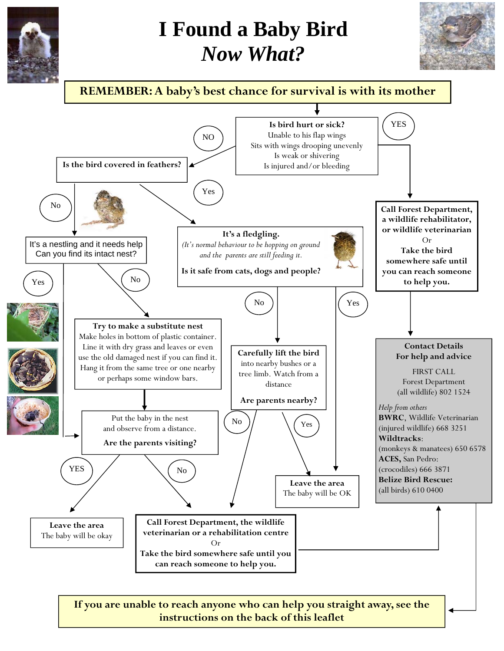

## **I Found a Baby Bird**  *Now What?*





**If you are unable to reach anyone who can help you straight away, see the instructions on the back of this leaflet**